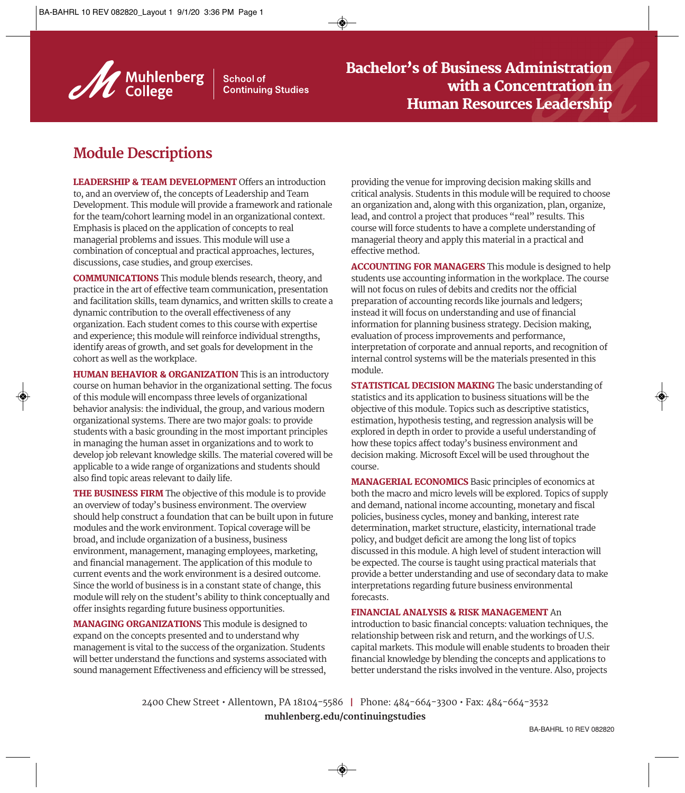

**School of Continuing Studies** 

## **Module Descriptions**

LEADERSHIP & TEAM DEVELOPMENT Offers an introduction to, and an overview of, the concepts of Leadership and Team Development. This module will provide a framework and rationale for the team/cohort learning model in an organizational context. Emphasis is placed on the application of concepts to real managerial problems and issues. This module will use a combination of conceptual and practical approaches, lectures, discussions, case studies, and group exercises.

COMMUNICATIONS This module blends research, theory, and practice in the art of effective team communication, presentation and facilitation skills, team dynamics, and written skills to create a dynamic contribution to the overall effectiveness of any organization. Each student comes to this course with expertise and experience; this module will reinforce individual strengths, identify areas of growth, and set goals for development in the cohort as well as the workplace.

HUMAN BEHAVIOR & ORGANIZATION This is an introductory course on human behavior in the organizational setting. The focus of this module will encompass three levels of organizational behavior analysis: the individual, the group, and various modern organizational systems. There are two major goals: to provide students with a basic grounding in the most important principles in managing the human asset in organizations and to work to develop job relevant knowledge skills. The material covered will be applicable to a wide range of organizations and students should also find topic areas relevant to daily life.

THE BUSINESS FIRM The objective of this module is to provide an overview of today's business environment. The overview should help construct a foundation that can be built upon in future modules and the work environment. Topical coverage will be broad, and include organization of a business, business environment, management, managing employees, marketing, and financial management. The application of this module to current events and the work environment is a desired outcome. Since the world of business is in a constant state of change, this module will rely on the student's ability to think conceptually and offer insights regarding future business opportunities.

MANAGING ORGANIZATIONS This module is designed to expand on the concepts presented and to understand why management is vital to the success of the organization. Students will better understand the functions and systems associated with sound management Effectiveness and efficiency will be stressed,

providing the venue for improving decision making skills and critical analysis. Students in this module will be required to choose an organization and, along with this organization, plan, organize, lead, and control a project that produces "real" results. This course will force students to have a complete understanding of managerial theory and apply this material in a practical and effective method.

ACCOUNTING FOR MANAGERS This module is designed to help students use accounting information in the workplace. The course will not focus on rules of debits and credits nor the official preparation of accounting records like journals and ledgers; instead it will focus on understanding and use of financial information for planning business strategy. Decision making, evaluation of process improvements and performance, interpretation of corporate and annual reports, and recognition of internal control systems will be the materials presented in this module.

STATISTICAL DECISION MAKING The basic understanding of statistics and its application to business situations will be the objective of this module. Topics such as descriptive statistics, estimation, hypothesis testing, and regression analysis will be explored in depth in order to provide a useful understanding of how these topics affect today's business environment and decision making. Microsoft Excel will be used throughout the course.

MANAGERIAL ECONOMICS Basic principles of economics at both the macro and micro levels will be explored. Topics of supply and demand, national income accounting, monetary and fiscal policies, business cycles, money and banking, interest rate determination, market structure, elasticity, international trade policy, and budget deficit are among the long list of topics discussed in this module. A high level of student interaction will be expected. The course is taught using practical materials that provide a better understanding and use of secondary data to make interpretations regarding future business environmental forecasts.

## FINANCIAL ANALYSIS & RISK MANAGEMENT An

introduction to basic financial concepts: valuation techniques, the relationship between risk and return, and the workings of U.S. capital markets. This module will enable students to broaden their financial knowledge by blending the concepts and applications to better understand the risks involved in the venture. Also, projects

2400 Chew Street • Allentown, PA 18104-5586 I Phone: 484-664-3300 • Fax: 484-664-3532 **muhlenberg.edu/continuingstudies**